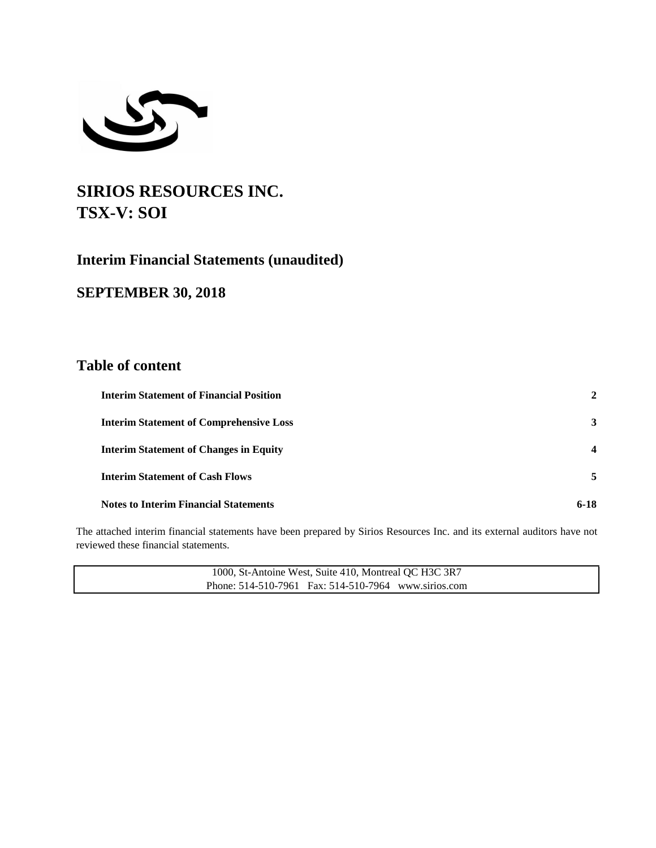

# **SIRIOS RESOURCES INC. TSX-V: SOI**

## **Interim Financial Statements (unaudited)**

## **SEPTEMBER 30, 2018**

## **Table of content**

| <b>Interim Statement of Financial Position</b> | 2                       |
|------------------------------------------------|-------------------------|
| <b>Interim Statement of Comprehensive Loss</b> | 3                       |
| <b>Interim Statement of Changes in Equity</b>  | $\overline{\mathbf{4}}$ |
| <b>Interim Statement of Cash Flows</b>         | 5                       |
| <b>Notes to Interim Financial Statements</b>   | $6-18$                  |

The attached interim financial statements have been prepared by Sirios Resources Inc. and its external auditors have not reviewed these financial statements.

| 1000, St-Antoine West, Suite 410, Montreal QC H3C 3R7 |  |
|-------------------------------------------------------|--|
| Phone: 514-510-7961 Fax: 514-510-7964 www.sirios.com  |  |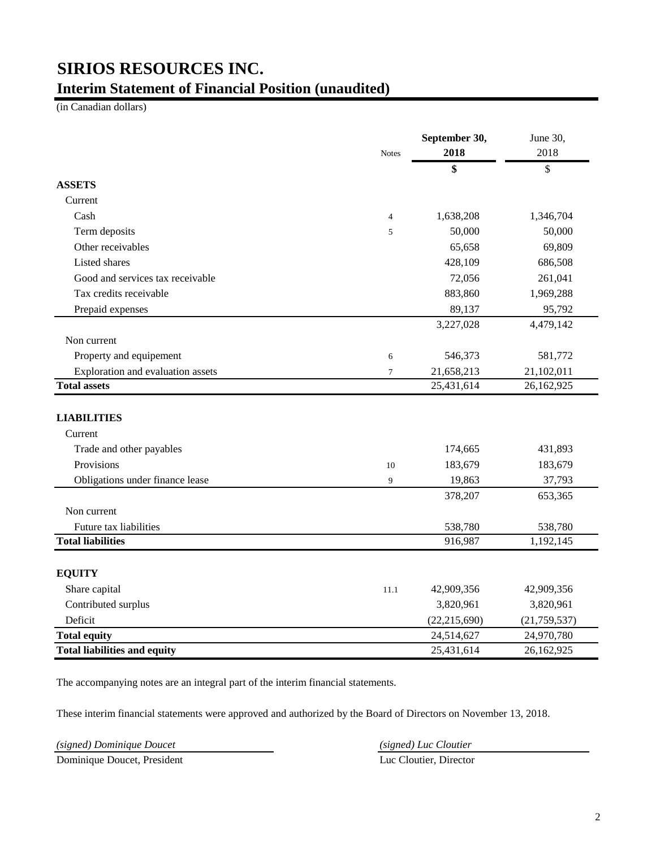## **SIRIOS RESOURCES INC. Interim Statement of Financial Position (unaudited)**

(in Canadian dollars)

|                                     | <b>Notes</b>   | September 30,<br>2018 | June 30,<br>2018 |
|-------------------------------------|----------------|-----------------------|------------------|
|                                     |                | \$                    | \$               |
| <b>ASSETS</b>                       |                |                       |                  |
| Current                             |                |                       |                  |
| Cash                                | $\overline{4}$ | 1,638,208             | 1,346,704        |
| Term deposits                       | 5              | 50,000                | 50,000           |
| Other receivables                   |                | 65,658                | 69,809           |
| Listed shares                       |                | 428,109               | 686,508          |
| Good and services tax receivable    |                | 72,056                | 261,041          |
| Tax credits receivable              |                | 883,860               | 1,969,288        |
| Prepaid expenses                    |                | 89,137                | 95,792           |
|                                     |                | 3,227,028             | 4,479,142        |
| Non current                         |                |                       |                  |
| Property and equipement             | 6              | 546,373               | 581,772          |
| Exploration and evaluation assets   | $\tau$         | 21,658,213            | 21,102,011       |
| <b>Total assets</b>                 |                | 25,431,614            | 26,162,925       |
|                                     |                |                       |                  |
| <b>LIABILITIES</b>                  |                |                       |                  |
| Current                             |                |                       |                  |
| Trade and other payables            |                | 174,665               | 431,893          |
| Provisions                          | 10             | 183,679               | 183,679          |
| Obligations under finance lease     | 9              | 19,863                | 37,793           |
|                                     |                | 378,207               | 653,365          |
| Non current                         |                |                       |                  |
| Future tax liabilities              |                | 538,780               | 538,780          |
| <b>Total liabilities</b>            |                | 916,987               | 1,192,145        |
|                                     |                |                       |                  |
| <b>EQUITY</b>                       |                |                       |                  |
| Share capital                       | 11.1           | 42,909,356            | 42,909,356       |
| Contributed surplus                 |                | 3,820,961             | 3,820,961        |
| Deficit                             |                | (22, 215, 690)        | (21, 759, 537)   |
| <b>Total equity</b>                 |                | 24,514,627            | 24,970,780       |
| <b>Total liabilities and equity</b> |                | 25,431,614            | 26,162,925       |

The accompanying notes are an integral part of the interim financial statements.

These interim financial statements were approved and authorized by the Board of Directors on November 13, 2018.

*(signed) Dominique Doucet (signed) Luc Cloutier*

Dominique Doucet, President Luc Cloutier, Director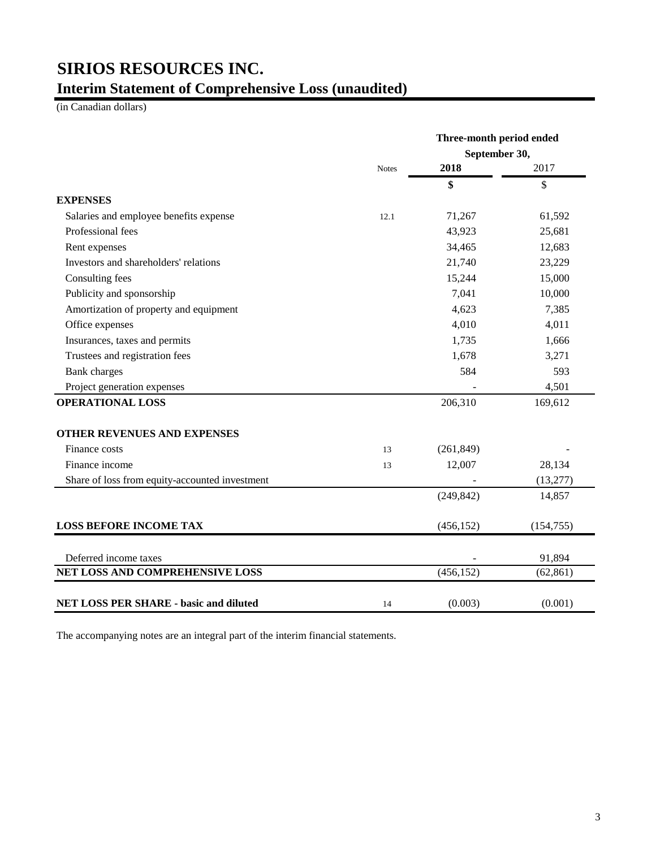# **SIRIOS RESOURCES INC. Interim Statement of Comprehensive Loss (unaudited)**

(in Canadian dollars)

|                                                |              | Three-month period ended<br>September 30, |            |
|------------------------------------------------|--------------|-------------------------------------------|------------|
|                                                | <b>Notes</b> | 2018                                      | 2017       |
|                                                |              | \$                                        | \$         |
| <b>EXPENSES</b>                                |              |                                           |            |
| Salaries and employee benefits expense         | 12.1         | 71,267                                    | 61,592     |
| Professional fees                              |              | 43,923                                    | 25,681     |
| Rent expenses                                  |              | 34,465                                    | 12,683     |
| Investors and shareholders' relations          |              | 21,740                                    | 23,229     |
| Consulting fees                                |              | 15,244                                    | 15,000     |
| Publicity and sponsorship                      |              | 7,041                                     | 10,000     |
| Amortization of property and equipment         |              | 4,623                                     | 7,385      |
| Office expenses                                |              | 4,010                                     | 4,011      |
| Insurances, taxes and permits                  |              | 1,735                                     | 1,666      |
| Trustees and registration fees                 |              | 1,678                                     | 3,271      |
| <b>Bank</b> charges                            |              | 584                                       | 593        |
| Project generation expenses                    |              |                                           | 4,501      |
| <b>OPERATIONAL LOSS</b>                        |              | 206,310                                   | 169,612    |
| OTHER REVENUES AND EXPENSES                    |              |                                           |            |
| Finance costs                                  | 13           | (261, 849)                                |            |
| Finance income                                 | 13           | 12,007                                    | 28,134     |
| Share of loss from equity-accounted investment |              |                                           | (13, 277)  |
|                                                |              | (249, 842)                                | 14,857     |
| <b>LOSS BEFORE INCOME TAX</b>                  |              | (456, 152)                                | (154, 755) |
| Deferred income taxes                          |              |                                           | 91,894     |
| NET LOSS AND COMPREHENSIVE LOSS                |              | (456, 152)                                | (62, 861)  |
| <b>NET LOSS PER SHARE - basic and diluted</b>  | 14           | (0.003)                                   | (0.001)    |

The accompanying notes are an integral part of the interim financial statements.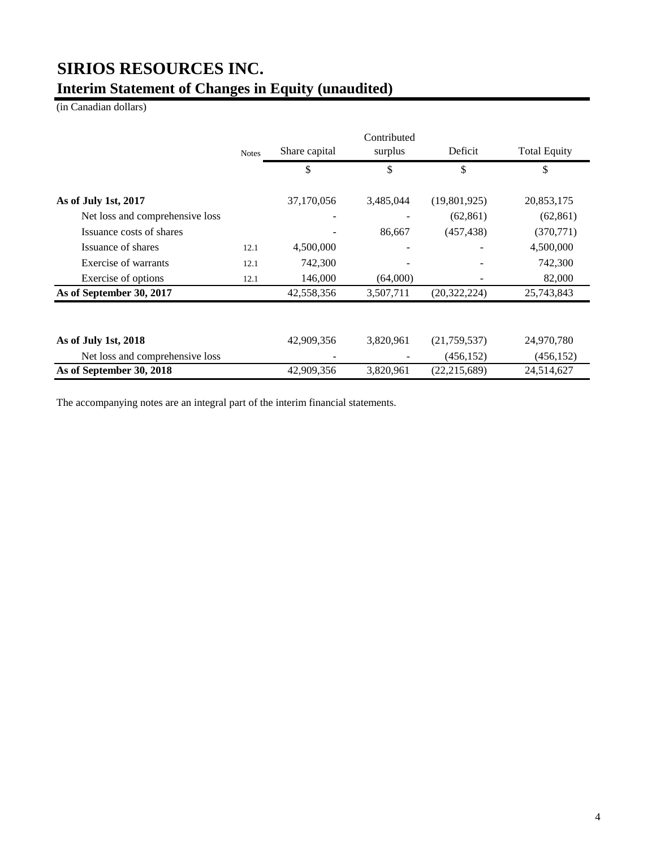# **SIRIOS RESOURCES INC. Interim Statement of Changes in Equity (unaudited)**

(in Canadian dollars)

|                                 |              |            | Contributed   |                |            |                     |
|---------------------------------|--------------|------------|---------------|----------------|------------|---------------------|
|                                 | <b>Notes</b> |            | Share capital | surplus        | Deficit    | <b>Total Equity</b> |
|                                 |              | \$         | \$            | \$             | \$         |                     |
| As of July 1st, 2017            |              | 37,170,056 | 3,485,044     | (19,801,925)   | 20,853,175 |                     |
| Net loss and comprehensive loss |              |            |               | (62, 861)      | (62, 861)  |                     |
| Issuance costs of shares        |              |            | 86,667        | (457, 438)     | (370, 771) |                     |
| Issuance of shares              | 12.1         | 4,500,000  |               |                | 4,500,000  |                     |
| Exercise of warrants            | 12.1         | 742,300    |               |                | 742,300    |                     |
| Exercise of options             | 12.1         | 146,000    | (64,000)      |                | 82,000     |                     |
| As of September 30, 2017        |              | 42,558,356 | 3,507,711     | (20, 322, 224) | 25,743,843 |                     |
| As of July 1st, 2018            |              | 42,909,356 | 3,820,961     | (21,759,537)   | 24,970,780 |                     |
| Net loss and comprehensive loss |              |            |               | (456, 152)     | (456, 152) |                     |
| As of September 30, 2018        |              | 42,909,356 | 3,820,961     | (22, 215, 689) | 24,514,627 |                     |

The accompanying notes are an integral part of the interim financial statements.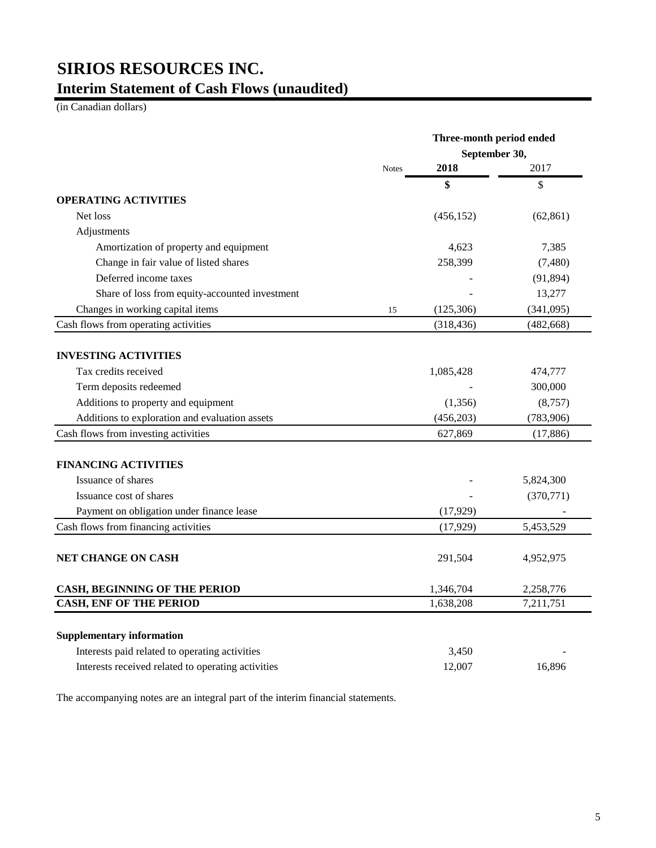# **SIRIOS RESOURCES INC. Interim Statement of Cash Flows (unaudited)**

(in Canadian dollars)

|                                                    |              | Three-month period ended |            |  |
|----------------------------------------------------|--------------|--------------------------|------------|--|
|                                                    |              | September 30,            |            |  |
|                                                    | <b>Notes</b> | 2018                     | 2017       |  |
|                                                    |              | \$                       | \$         |  |
| <b>OPERATING ACTIVITIES</b>                        |              |                          |            |  |
| Net loss                                           |              | (456, 152)               | (62, 861)  |  |
| Adjustments                                        |              |                          |            |  |
| Amortization of property and equipment             |              | 4,623                    | 7,385      |  |
| Change in fair value of listed shares              |              | 258,399                  | (7, 480)   |  |
| Deferred income taxes                              |              |                          | (91, 894)  |  |
| Share of loss from equity-accounted investment     |              |                          | 13,277     |  |
| Changes in working capital items                   | 15           | (125, 306)               | (341,095)  |  |
| Cash flows from operating activities               |              | (318, 436)               | (482, 668) |  |
| <b>INVESTING ACTIVITIES</b>                        |              |                          |            |  |
| Tax credits received                               |              | 1,085,428                | 474,777    |  |
| Term deposits redeemed                             |              |                          | 300,000    |  |
| Additions to property and equipment                |              | (1,356)                  | (8,757)    |  |
| Additions to exploration and evaluation assets     |              | (456, 203)               | (783,906)  |  |
| Cash flows from investing activities               |              | 627,869                  | (17, 886)  |  |
|                                                    |              |                          |            |  |
| <b>FINANCING ACTIVITIES</b>                        |              |                          |            |  |
| Issuance of shares                                 |              |                          | 5,824,300  |  |
| Issuance cost of shares                            |              |                          | (370, 771) |  |
| Payment on obligation under finance lease          |              | (17, 929)                |            |  |
| Cash flows from financing activities               |              | (17, 929)                | 5,453,529  |  |
| NET CHANGE ON CASH                                 |              | 291,504                  | 4,952,975  |  |
|                                                    |              |                          |            |  |
| <b>CASH, BEGINNING OF THE PERIOD</b>               |              | 1,346,704                | 2,258,776  |  |
| <b>CASH, ENF OF THE PERIOD</b>                     |              | 1,638,208                | 7,211,751  |  |
| <b>Supplementary information</b>                   |              |                          |            |  |
| Interests paid related to operating activities     |              | 3,450                    |            |  |
|                                                    |              |                          |            |  |
| Interests received related to operating activities |              | 12,007                   | 16.896     |  |

The accompanying notes are an integral part of the interim financial statements.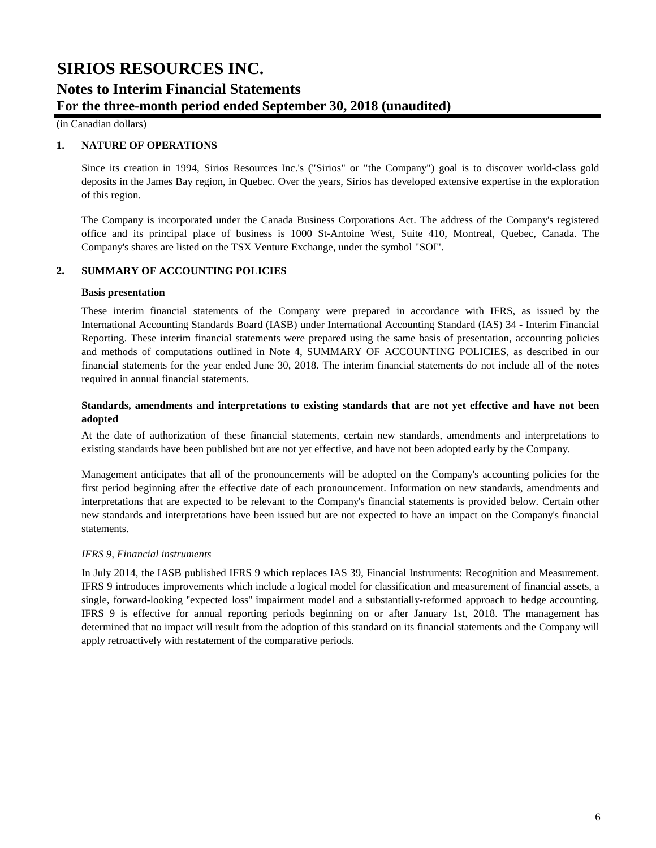(in Canadian dollars)

### **1. NATURE OF OPERATIONS**

Since its creation in 1994, Sirios Resources Inc.'s ("Sirios" or "the Company") goal is to discover world-class gold deposits in the James Bay region, in Quebec. Over the years, Sirios has developed extensive expertise in the exploration of this region.

The Company is incorporated under the Canada Business Corporations Act. The address of the Company's registered office and its principal place of business is 1000 St-Antoine West, Suite 410, Montreal, Quebec, Canada. The Company's shares are listed on the TSX Venture Exchange, under the symbol "SOI".

### **2. SUMMARY OF ACCOUNTING POLICIES**

#### **Basis presentation**

These interim financial statements of the Company were prepared in accordance with IFRS, as issued by the International Accounting Standards Board (IASB) under International Accounting Standard (IAS) 34 - Interim Financial Reporting. These interim financial statements were prepared using the same basis of presentation, accounting policies and methods of computations outlined in Note 4, SUMMARY OF ACCOUNTING POLICIES, as described in our financial statements for the year ended June 30, 2018. The interim financial statements do not include all of the notes required in annual financial statements.

## **Standards, amendments and interpretations to existing standards that are not yet effective and have not been adopted**

At the date of authorization of these financial statements, certain new standards, amendments and interpretations to existing standards have been published but are not yet effective, and have not been adopted early by the Company.

Management anticipates that all of the pronouncements will be adopted on the Company's accounting policies for the first period beginning after the effective date of each pronouncement. Information on new standards, amendments and interpretations that are expected to be relevant to the Company's financial statements is provided below. Certain other new standards and interpretations have been issued but are not expected to have an impact on the Company's financial statements.

### *IFRS 9, Financial instruments*

In July 2014, the IASB published IFRS 9 which replaces IAS 39, Financial Instruments: Recognition and Measurement. IFRS 9 introduces improvements which include a logical model for classification and measurement of financial assets, a single, forward-looking ''expected loss'' impairment model and a substantially-reformed approach to hedge accounting. IFRS 9 is effective for annual reporting periods beginning on or after January 1st, 2018. The management has determined that no impact will result from the adoption of this standard on its financial statements and the Company will apply retroactively with restatement of the comparative periods.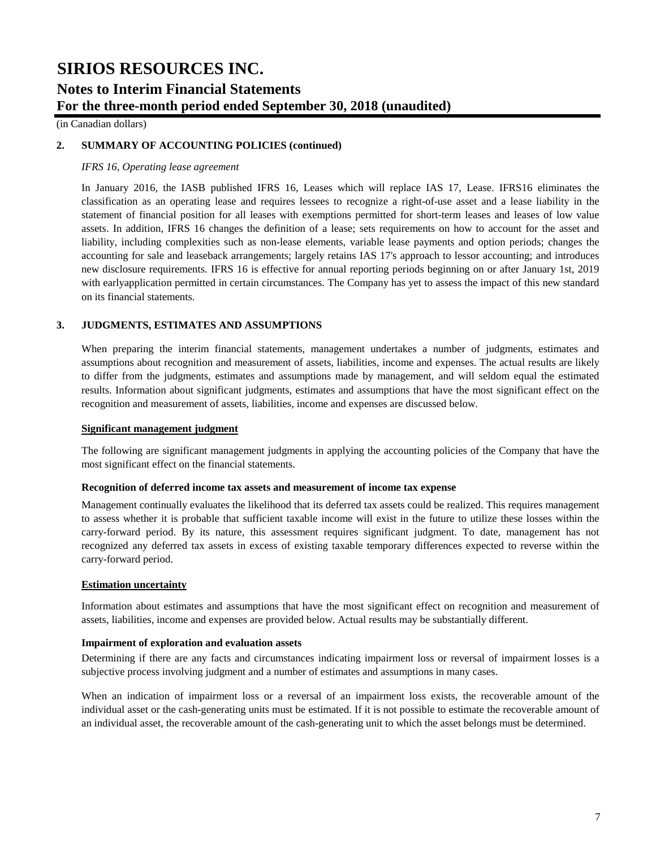(in Canadian dollars)

## **2. SUMMARY OF ACCOUNTING POLICIES (continued)**

#### *IFRS 16, Operating lease agreement*

In January 2016, the IASB published IFRS 16, Leases which will replace IAS 17, Lease. IFRS16 eliminates the classification as an operating lease and requires lessees to recognize a right-of-use asset and a lease liability in the statement of financial position for all leases with exemptions permitted for short-term leases and leases of low value assets. In addition, IFRS 16 changes the definition of a lease; sets requirements on how to account for the asset and liability, including complexities such as non-lease elements, variable lease payments and option periods; changes the accounting for sale and leaseback arrangements; largely retains IAS 17's approach to lessor accounting; and introduces new disclosure requirements. IFRS 16 is effective for annual reporting periods beginning on or after January 1st, 2019 with earlyapplication permitted in certain circumstances. The Company has yet to assess the impact of this new standard on its financial statements.

### **3. JUDGMENTS, ESTIMATES AND ASSUMPTIONS**

When preparing the interim financial statements, management undertakes a number of judgments, estimates and assumptions about recognition and measurement of assets, liabilities, income and expenses. The actual results are likely to differ from the judgments, estimates and assumptions made by management, and will seldom equal the estimated results. Information about significant judgments, estimates and assumptions that have the most significant effect on the recognition and measurement of assets, liabilities, income and expenses are discussed below.

#### **Significant management judgment**

The following are significant management judgments in applying the accounting policies of the Company that have the most significant effect on the financial statements.

#### **Recognition of deferred income tax assets and measurement of income tax expense**

Management continually evaluates the likelihood that its deferred tax assets could be realized. This requires management to assess whether it is probable that sufficient taxable income will exist in the future to utilize these losses within the carry-forward period. By its nature, this assessment requires significant judgment. To date, management has not recognized any deferred tax assets in excess of existing taxable temporary differences expected to reverse within the carry-forward period.

#### **Estimation uncertainty**

Information about estimates and assumptions that have the most significant effect on recognition and measurement of assets, liabilities, income and expenses are provided below. Actual results may be substantially different.

### **Impairment of exploration and evaluation assets**

Determining if there are any facts and circumstances indicating impairment loss or reversal of impairment losses is a subjective process involving judgment and a number of estimates and assumptions in many cases.

When an indication of impairment loss or a reversal of an impairment loss exists, the recoverable amount of the individual asset or the cash-generating units must be estimated. If it is not possible to estimate the recoverable amount of an individual asset, the recoverable amount of the cash-generating unit to which the asset belongs must be determined.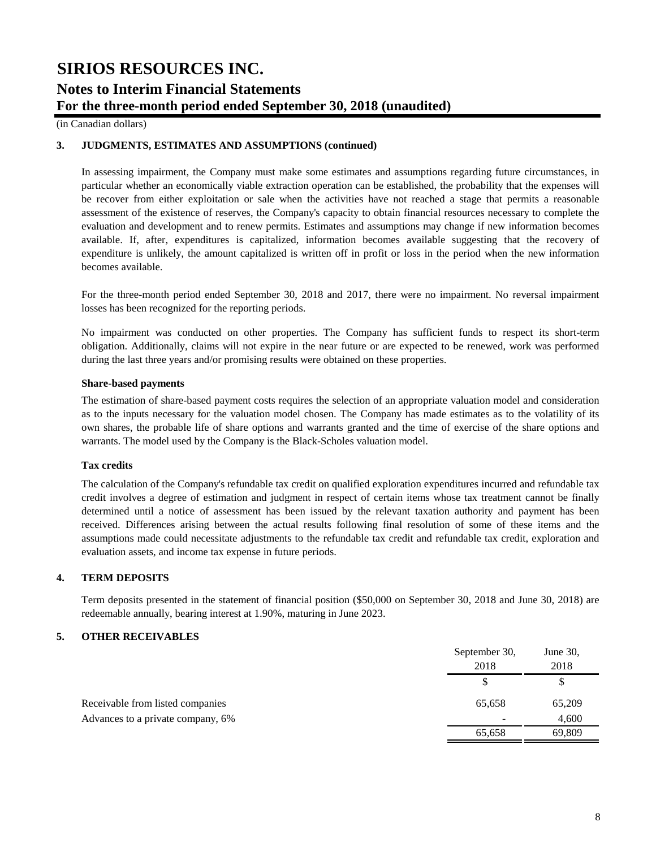(in Canadian dollars)

### **3. JUDGMENTS, ESTIMATES AND ASSUMPTIONS (continued)**

In assessing impairment, the Company must make some estimates and assumptions regarding future circumstances, in particular whether an economically viable extraction operation can be established, the probability that the expenses will be recover from either exploitation or sale when the activities have not reached a stage that permits a reasonable assessment of the existence of reserves, the Company's capacity to obtain financial resources necessary to complete the evaluation and development and to renew permits. Estimates and assumptions may change if new information becomes available. If, after, expenditures is capitalized, information becomes available suggesting that the recovery of expenditure is unlikely, the amount capitalized is written off in profit or loss in the period when the new information becomes available.

For the three-month period ended September 30, 2018 and 2017, there were no impairment. No reversal impairment losses has been recognized for the reporting periods.

No impairment was conducted on other properties. The Company has sufficient funds to respect its short-term obligation. Additionally, claims will not expire in the near future or are expected to be renewed, work was performed during the last three years and/or promising results were obtained on these properties.

#### **Share-based payments**

The estimation of share-based payment costs requires the selection of an appropriate valuation model and consideration as to the inputs necessary for the valuation model chosen. The Company has made estimates as to the volatility of its own shares, the probable life of share options and warrants granted and the time of exercise of the share options and warrants. The model used by the Company is the Black-Scholes valuation model.

### **Tax credits**

The calculation of the Company's refundable tax credit on qualified exploration expenditures incurred and refundable tax credit involves a degree of estimation and judgment in respect of certain items whose tax treatment cannot be finally determined until a notice of assessment has been issued by the relevant taxation authority and payment has been received. Differences arising between the actual results following final resolution of some of these items and the assumptions made could necessitate adjustments to the refundable tax credit and refundable tax credit, exploration and evaluation assets, and income tax expense in future periods.

## **4. TERM DEPOSITS**

Term deposits presented in the statement of financial position (\$50,000 on September 30, 2018 and June 30, 2018) are redeemable annually, bearing interest at 1.90%, maturing in June 2023.

### **5. OTHER RECEIVABLES**

|                                   | September 30,<br>2018 | June $30$ ,<br>2018 |
|-----------------------------------|-----------------------|---------------------|
|                                   |                       | S                   |
| Receivable from listed companies  | 65,658                | 65,209              |
| Advances to a private company, 6% |                       | 4,600               |
|                                   | 65,658                | 69,809              |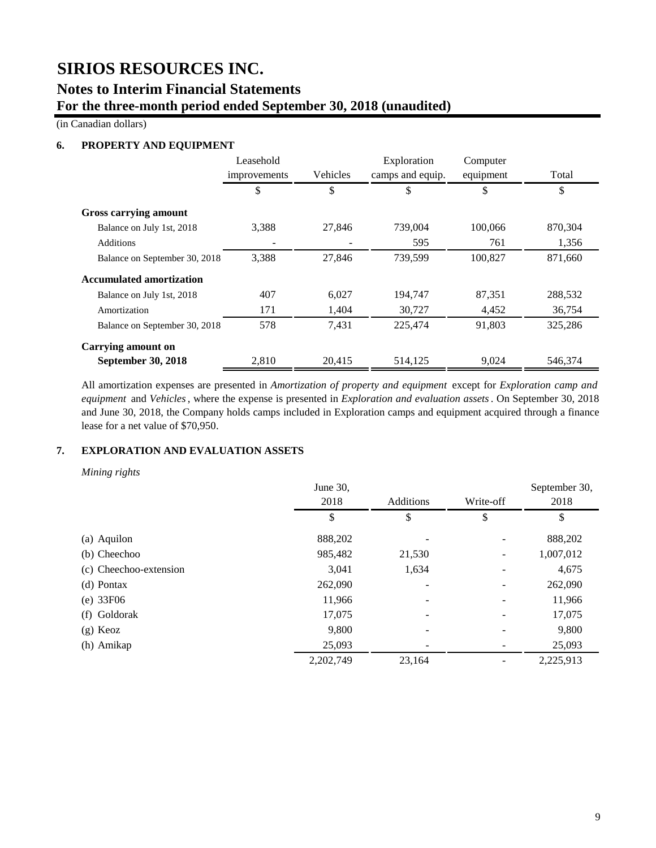# **SIRIOS RESOURCES INC.**

## **Notes to Interim Financial Statements For the three-month period ended September 30, 2018 (unaudited)**

(in Canadian dollars)

## **6. PROPERTY AND EQUIPMENT**

|                                 | Leasehold<br>improvements | Vehicles | Exploration<br>camps and equip. | Computer<br>equipment | Total   |
|---------------------------------|---------------------------|----------|---------------------------------|-----------------------|---------|
|                                 | \$                        | \$       | \$                              | \$                    | \$      |
| <b>Gross carrying amount</b>    |                           |          |                                 |                       |         |
| Balance on July 1st, 2018       | 3,388                     | 27,846   | 739,004                         | 100,066               | 870,304 |
| Additions                       |                           |          | 595                             | 761                   | 1,356   |
| Balance on September 30, 2018   | 3,388                     | 27,846   | 739,599                         | 100,827               | 871,660 |
| <b>Accumulated amortization</b> |                           |          |                                 |                       |         |
| Balance on July 1st, 2018       | 407                       | 6,027    | 194,747                         | 87,351                | 288,532 |
| Amortization                    | 171                       | 1.404    | 30,727                          | 4,452                 | 36,754  |
| Balance on September 30, 2018   | 578                       | 7,431    | 225,474                         | 91,803                | 325,286 |
| <b>Carrying amount on</b>       |                           |          |                                 |                       |         |
| September 30, 2018              | 2,810                     | 20,415   | 514,125                         | 9,024                 | 546,374 |

All amortization expenses are presented in *Amortization of property and equipment* except for *Exploration camp and equipment* and *Vehicles*, where the expense is presented in *Exploration and evaluation assets*. On September 30, 2018 and June 30, 2018, the Company holds camps included in Exploration camps and equipment acquired through a finance lease for a net value of \$70,950.

## **7. EXPLORATION AND EVALUATION ASSETS**

*Mining rights*

|                        | June 30,  |           |           | September 30, |
|------------------------|-----------|-----------|-----------|---------------|
|                        | 2018      | Additions | Write-off | 2018          |
|                        | \$        | \$        | \$        | \$            |
| (a) Aquilon            | 888,202   |           |           | 888,202       |
| (b) Cheechoo           | 985,482   | 21,530    |           | 1,007,012     |
| (c) Cheechoo-extension | 3,041     | 1,634     |           | 4,675         |
| (d) Pontax             | 262,090   |           |           | 262,090       |
| (e) 33F06              | 11,966    |           |           | 11,966        |
| (f) Goldorak           | 17,075    |           |           | 17,075        |
| $(g)$ Keoz             | 9,800     |           |           | 9,800         |
| (h) Amikap             | 25,093    |           |           | 25,093        |
|                        | 2,202,749 | 23,164    |           | 2,225,913     |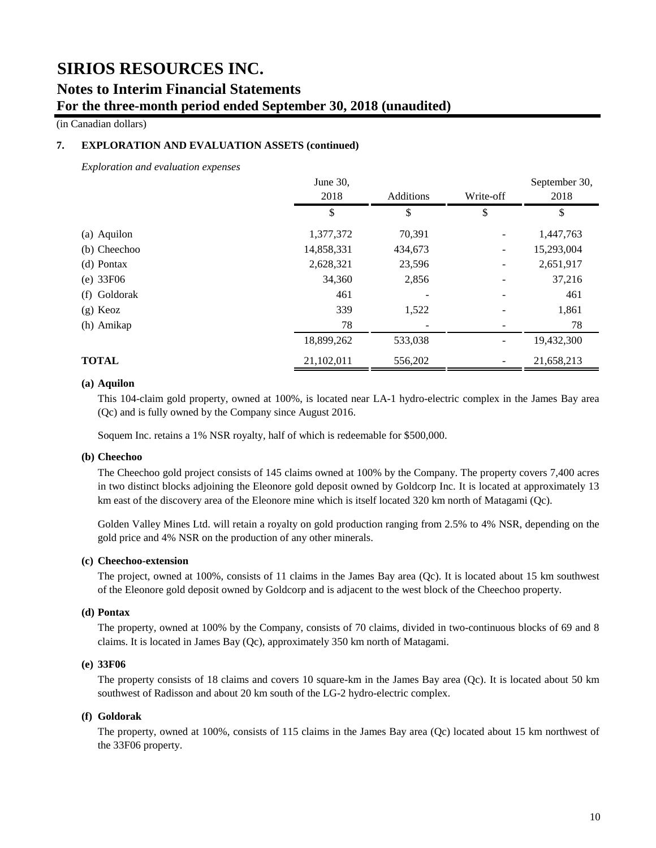(in Canadian dollars)

### **7. EXPLORATION AND EVALUATION ASSETS (continued)**

*Exploration and evaluation expenses*

|              | June 30,   |           |                          | September 30, |
|--------------|------------|-----------|--------------------------|---------------|
|              | 2018       | Additions | Write-off                | 2018          |
|              | \$         | \$        | \$                       | \$            |
| (a) Aquilon  | 1,377,372  | 70,391    |                          | 1,447,763     |
| (b) Cheechoo | 14,858,331 | 434,673   | $\overline{\phantom{0}}$ | 15,293,004    |
| (d) Pontax   | 2,628,321  | 23,596    |                          | 2,651,917     |
| (e) 33F06    | 34,360     | 2,856     |                          | 37,216        |
| (f) Goldorak | 461        |           |                          | 461           |
| $(g)$ Keoz   | 339        | 1,522     |                          | 1,861         |
| (h) Amikap   | 78         |           |                          | 78            |
|              | 18,899,262 | 533,038   |                          | 19,432,300    |
| <b>TOTAL</b> | 21,102,011 | 556,202   |                          | 21,658,213    |

### **(a) Aquilon**

This 104-claim gold property, owned at 100%, is located near LA-1 hydro-electric complex in the James Bay area (Qc) and is fully owned by the Company since August 2016.

Soquem Inc. retains a 1% NSR royalty, half of which is redeemable for \$500,000.

#### **(b) Cheechoo**

The Cheechoo gold project consists of 145 claims owned at 100% by the Company. The property covers 7,400 acres in two distinct blocks adjoining the Eleonore gold deposit owned by Goldcorp Inc. It is located at approximately 13 km east of the discovery area of the Eleonore mine which is itself located 320 km north of Matagami (Qc).

Golden Valley Mines Ltd. will retain a royalty on gold production ranging from 2.5% to 4% NSR, depending on the gold price and 4% NSR on the production of any other minerals.

#### **(c) Cheechoo-extension**

The project, owned at 100%, consists of 11 claims in the James Bay area (Qc). It is located about 15 km southwest of the Eleonore gold deposit owned by Goldcorp and is adjacent to the west block of the Cheechoo property.

#### **(d) Pontax**

The property, owned at 100% by the Company, consists of 70 claims, divided in two-continuous blocks of 69 and 8 claims. It is located in James Bay (Qc), approximately 350 km north of Matagami.

### **(e) 33F06**

The property consists of 18 claims and covers 10 square-km in the James Bay area (Qc). It is located about 50 km southwest of Radisson and about 20 km south of the LG-2 hydro-electric complex.

#### **(f) Goldorak**

The property, owned at 100%, consists of 115 claims in the James Bay area (Qc) located about 15 km northwest of the 33F06 property.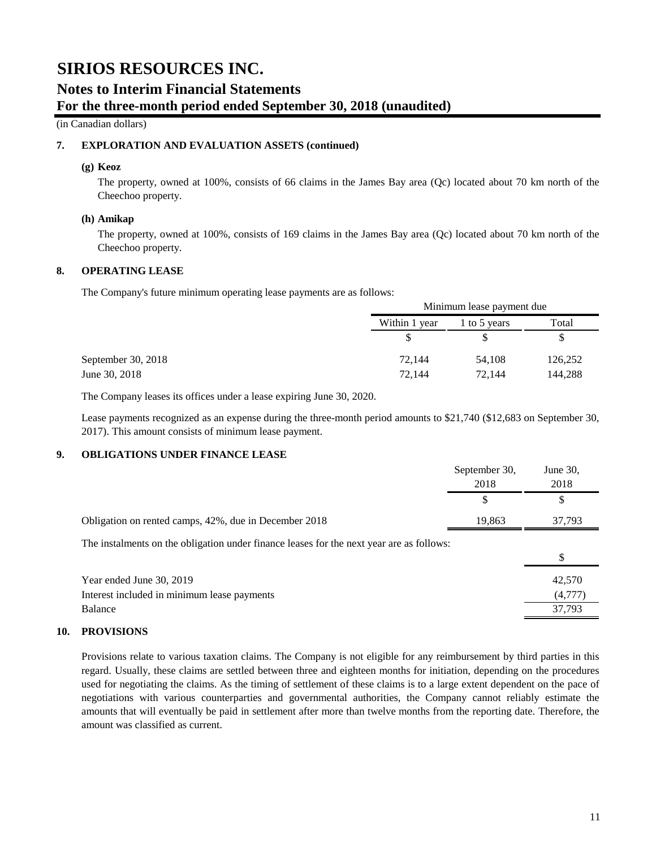(in Canadian dollars)

### **7. EXPLORATION AND EVALUATION ASSETS (continued)**

#### **(g) Keoz**

The property, owned at 100%, consists of 66 claims in the James Bay area (Qc) located about 70 km north of the Cheechoo property.

#### **(h) Amikap**

The property, owned at 100%, consists of 169 claims in the James Bay area (Qc) located about 70 km north of the Cheechoo property.

### **8. OPERATING LEASE**

The Company's future minimum operating lease payments are as follows:

|               | Minimum lease payment due |         |  |
|---------------|---------------------------|---------|--|
| Within 1 year | Total<br>1 to 5 years     |         |  |
|               | S                         |         |  |
| 72,144        | 54.108                    | 126,252 |  |
| 72.144        | 72,144                    | 144,288 |  |

The Company leases its offices under a lease expiring June 30, 2020.

Lease payments recognized as an expense during the three-month period amounts to \$21,740 (\$12,683 on September 30, 2017). This amount consists of minimum lease payment.

## **9. OBLIGATIONS UNDER FINANCE LEASE**

|                                                                                          | September 30,<br>2018 | June $30$ ,<br>2018         |
|------------------------------------------------------------------------------------------|-----------------------|-----------------------------|
|                                                                                          | \$                    | \$                          |
| Obligation on rented camps, 42%, due in December 2018                                    | 19,863                | 37,793                      |
| The instalments on the obligation under finance leases for the next year are as follows: |                       | \$                          |
| Year ended June 30, 2019<br>Interest included in minimum lease payments<br>Balance       |                       | 42,570<br>(4,777)<br>37.793 |
|                                                                                          |                       |                             |

#### **10. PROVISIONS**

Provisions relate to various taxation claims. The Company is not eligible for any reimbursement by third parties in this regard. Usually, these claims are settled between three and eighteen months for initiation, depending on the procedures used for negotiating the claims. As the timing of settlement of these claims is to a large extent dependent on the pace of negotiations with various counterparties and governmental authorities, the Company cannot reliably estimate the amounts that will eventually be paid in settlement after more than twelve months from the reporting date. Therefore, the amount was classified as current.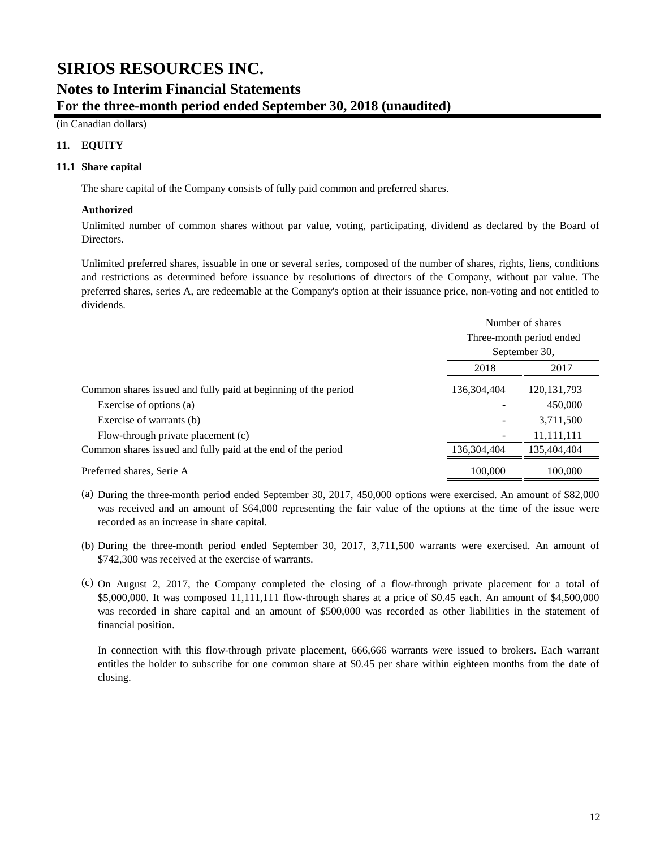(in Canadian dollars)

## **11. EQUITY**

### **11.1 Share capital**

The share capital of the Company consists of fully paid common and preferred shares.

### **Authorized**

Unlimited number of common shares without par value, voting, participating, dividend as declared by the Board of Directors.

Unlimited preferred shares, issuable in one or several series, composed of the number of shares, rights, liens, conditions and restrictions as determined before issuance by resolutions of directors of the Company, without par value. The preferred shares, series A, are redeemable at the Company's option at their issuance price, non-voting and not entitled to dividends.

|                                                                | Number of shares<br>Three-month period ended<br>September 30, |               |
|----------------------------------------------------------------|---------------------------------------------------------------|---------------|
|                                                                |                                                               |               |
|                                                                |                                                               |               |
|                                                                | 2018                                                          | 2017          |
| Common shares issued and fully paid at beginning of the period | 136, 304, 404                                                 | 120, 131, 793 |
| Exercise of options (a)                                        |                                                               | 450,000       |
| Exercise of warrants (b)                                       |                                                               | 3,711,500     |
| Flow-through private placement (c)                             |                                                               | 11,111,111    |
| Common shares issued and fully paid at the end of the period   | 136,304,404                                                   | 135,404,404   |
| Preferred shares, Serie A                                      | 100,000                                                       | 100,000       |

- (a) During the three-month period ended September 30, 2017, 450,000 options were exercised. An amount of \$82,000 was received and an amount of \$64,000 representing the fair value of the options at the time of the issue were recorded as an increase in share capital.
- (b) During the three-month period ended September 30, 2017, 3,711,500 warrants were exercised. An amount of \$742,300 was received at the exercise of warrants.
- (c) On August 2, 2017, the Company completed the closing of a flow-through private placement for a total of \$5,000,000. It was composed 11,111,111 flow-through shares at a price of \$0.45 each. An amount of \$4,500,000 was recorded in share capital and an amount of \$500,000 was recorded as other liabilities in the statement of financial position.

In connection with this flow-through private placement, 666,666 warrants were issued to brokers. Each warrant entitles the holder to subscribe for one common share at \$0.45 per share within eighteen months from the date of closing.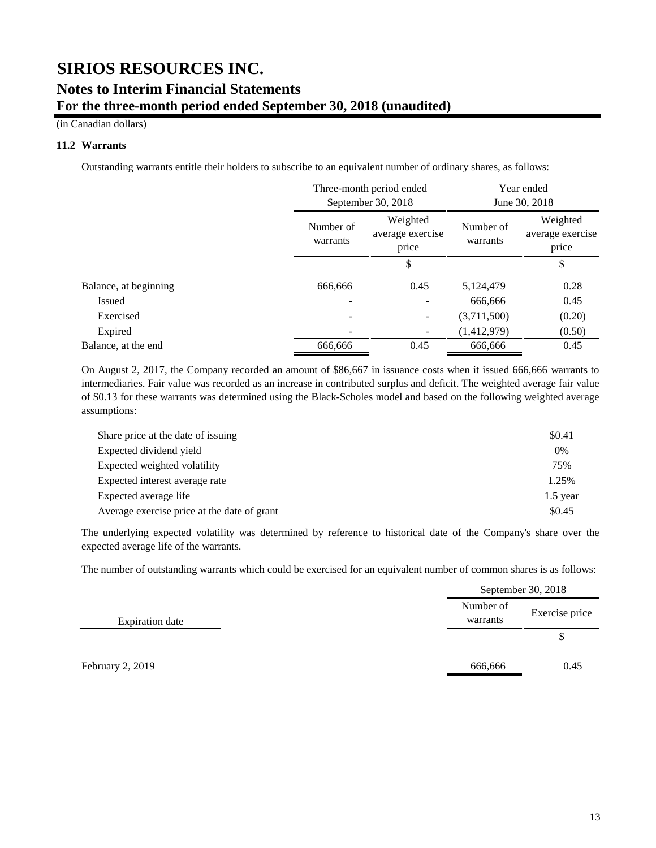(in Canadian dollars)

### **11.2 Warrants**

Outstanding warrants entitle their holders to subscribe to an equivalent number of ordinary shares, as follows:

|                       | Three-month period ended<br>September 30, 2018 |                                       | Year ended<br>June 30, 2018 |                                       |
|-----------------------|------------------------------------------------|---------------------------------------|-----------------------------|---------------------------------------|
|                       | Number of<br>warrants                          | Weighted<br>average exercise<br>price | Number of<br>warrants       | Weighted<br>average exercise<br>price |
|                       |                                                | \$                                    |                             | \$                                    |
| Balance, at beginning | 666,666                                        | 0.45                                  | 5,124,479                   | 0.28                                  |
| <b>Issued</b>         |                                                |                                       | 666,666                     | 0.45                                  |
| Exercised             |                                                |                                       | (3,711,500)                 | (0.20)                                |
| Expired               |                                                |                                       | (1,412,979)                 | (0.50)                                |
| Balance, at the end   | 666,666                                        | 0.45                                  | 666,666                     | 0.45                                  |

On August 2, 2017, the Company recorded an amount of \$86,667 in issuance costs when it issued 666,666 warrants to intermediaries. Fair value was recorded as an increase in contributed surplus and deficit. The weighted average fair value of \$0.13 for these warrants was determined using the Black-Scholes model and based on the following weighted average assumptions:

| Share price at the date of issuing          | \$0.41     |
|---------------------------------------------|------------|
| Expected dividend yield                     | 0%         |
| Expected weighted volatility                | 75%        |
| Expected interest average rate              | 1.25%      |
| Expected average life                       | $1.5$ year |
| Average exercise price at the date of grant | \$0.45     |

The underlying expected volatility was determined by reference to historical date of the Company's share over the expected average life of the warrants.

The number of outstanding warrants which could be exercised for an equivalent number of common shares is as follows:

|                        |                       | September 30, 2018 |  |
|------------------------|-----------------------|--------------------|--|
| <b>Expiration</b> date | Number of<br>warrants | Exercise price     |  |
|                        |                       | \$                 |  |
| February 2, 2019       | 666,666               | 0.45               |  |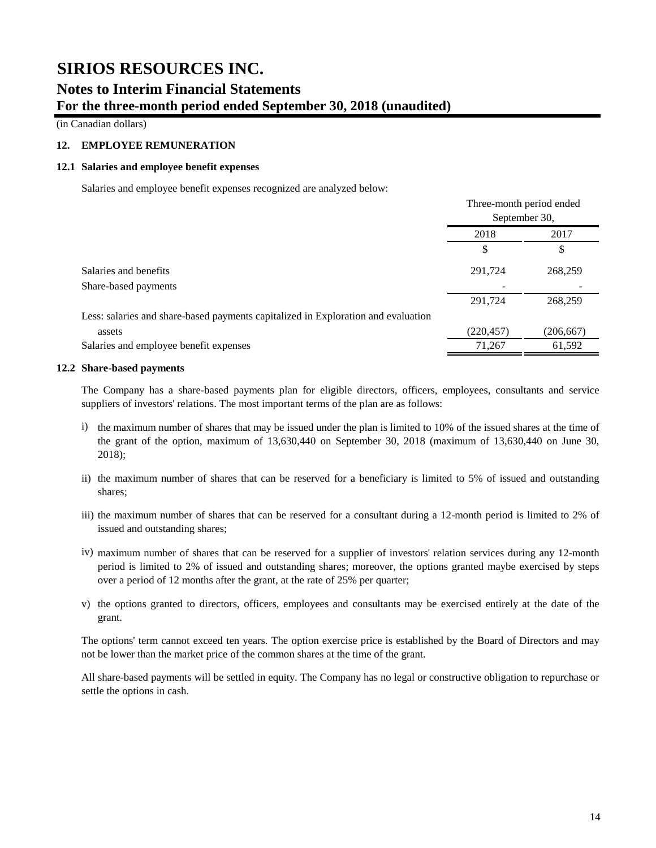(in Canadian dollars)

## **12. EMPLOYEE REMUNERATION**

#### **12.1 Salaries and employee benefit expenses**

Salaries and employee benefit expenses recognized are analyzed below:

|                                                                                   | Three-month period ended<br>September 30, |            |
|-----------------------------------------------------------------------------------|-------------------------------------------|------------|
|                                                                                   | 2018                                      | 2017       |
|                                                                                   | S                                         | S          |
| Salaries and benefits                                                             | 291,724                                   | 268,259    |
| Share-based payments                                                              |                                           |            |
|                                                                                   | 291,724                                   | 268,259    |
| Less: salaries and share-based payments capitalized in Exploration and evaluation |                                           |            |
| assets                                                                            | (220, 457)                                | (206, 667) |
| Salaries and employee benefit expenses                                            | 71,267                                    | 61,592     |

#### **12.2 Share-based payments**

The Company has a share-based payments plan for eligible directors, officers, employees, consultants and service suppliers of investors' relations. The most important terms of the plan are as follows:

- i) the maximum number of shares that may be issued under the plan is limited to 10% of the issued shares at the time of the grant of the option, maximum of 13,630,440 on September 30, 2018 (maximum of 13,630,440 on June 30, 2018);
- ii) the maximum number of shares that can be reserved for a beneficiary is limited to 5% of issued and outstanding shares;
- iii) the maximum number of shares that can be reserved for a consultant during a 12-month period is limited to 2% of issued and outstanding shares;
- iv) maximum number of shares that can be reserved for a supplier of investors' relation services during any 12-month period is limited to 2% of issued and outstanding shares; moreover, the options granted maybe exercised by steps over a period of 12 months after the grant, at the rate of 25% per quarter;
- v) the options granted to directors, officers, employees and consultants may be exercised entirely at the date of the grant.

The options' term cannot exceed ten years. The option exercise price is established by the Board of Directors and may not be lower than the market price of the common shares at the time of the grant.

All share-based payments will be settled in equity. The Company has no legal or constructive obligation to repurchase or settle the options in cash.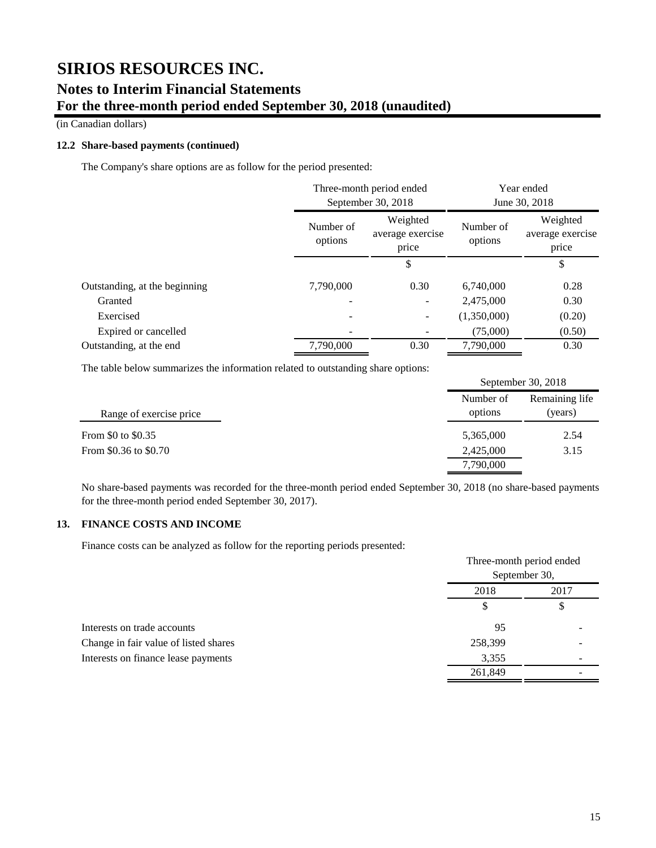(in Canadian dollars)

### **12.2 Share-based payments (continued)**

The Company's share options are as follow for the period presented:

|                               | Three-month period ended |                                       | Year ended           |                                       |
|-------------------------------|--------------------------|---------------------------------------|----------------------|---------------------------------------|
|                               | September 30, 2018       |                                       | June 30, 2018        |                                       |
|                               | Number of<br>options     | Weighted<br>average exercise<br>price | Number of<br>options | Weighted<br>average exercise<br>price |
|                               |                          | \$                                    |                      | \$                                    |
| Outstanding, at the beginning | 7,790,000                | 0.30                                  | 6,740,000            | 0.28                                  |
| Granted                       |                          |                                       | 2,475,000            | 0.30                                  |
| Exercised                     |                          |                                       | (1,350,000)          | (0.20)                                |
| Expired or cancelled          |                          |                                       | (75,000)             | (0.50)                                |
| Outstanding, at the end       | 7.790,000                | 0.30                                  | 7.790,000            | 0.30                                  |

The table below summarizes the information related to outstanding share options:

|                         |                      | September 30, 2018        |  |
|-------------------------|----------------------|---------------------------|--|
| Range of exercise price | Number of<br>options | Remaining life<br>(years) |  |
| From \$0 to \$0.35      | 5,365,000            | 2.54                      |  |
| From \$0.36 to \$0.70   | 2,425,000            | 3.15                      |  |
|                         | 7,790,000            |                           |  |

No share-based payments was recorded for the three-month period ended September 30, 2018 (no share-based payments for the three-month period ended September 30, 2017).

## **13. FINANCE COSTS AND INCOME**

Finance costs can be analyzed as follow for the reporting periods presented:

|                                       | Three-month period ended<br>September 30, |            |
|---------------------------------------|-------------------------------------------|------------|
|                                       | 2018                                      | 2017<br>\$ |
|                                       | S                                         |            |
| Interests on trade accounts           | 95                                        |            |
| Change in fair value of listed shares | 258,399                                   |            |
| Interests on finance lease payments   | 3,355                                     |            |
|                                       | 261,849                                   |            |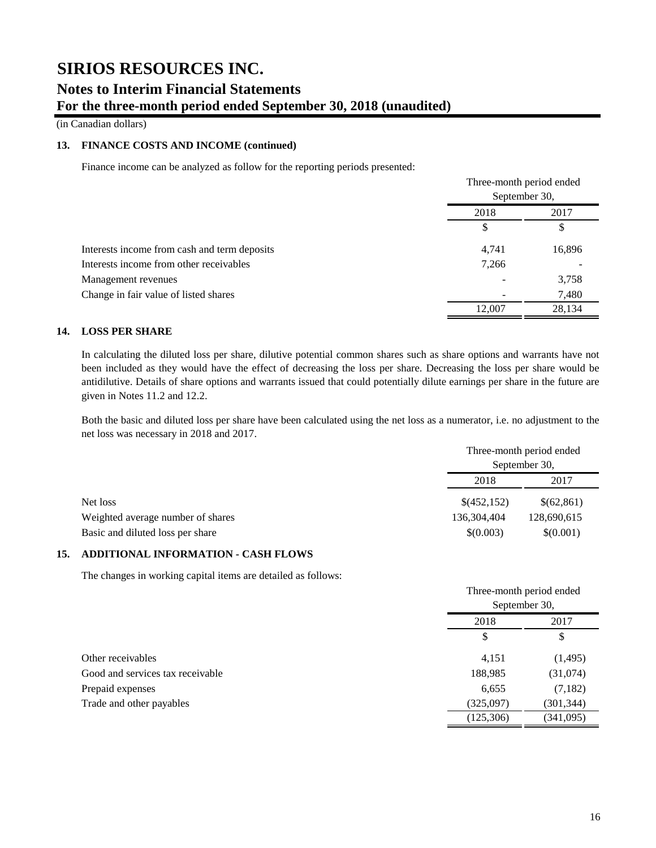(in Canadian dollars)

### **13. FINANCE COSTS AND INCOME (continued)**

Finance income can be analyzed as follow for the reporting periods presented:

|                                              | Three-month period ended<br>September 30, |            |
|----------------------------------------------|-------------------------------------------|------------|
|                                              |                                           |            |
|                                              | 2018<br>\$                                | 2017<br>\$ |
|                                              |                                           |            |
| Interests income from cash and term deposits | 4,741                                     | 16,896     |
| Interests income from other receivables      | 7,266                                     |            |
| Management revenues                          |                                           | 3,758      |
| Change in fair value of listed shares        |                                           | 7,480      |
|                                              | 12,007                                    | 28,134     |

### **14. LOSS PER SHARE**

In calculating the diluted loss per share, dilutive potential common shares such as share options and warrants have not been included as they would have the effect of decreasing the loss per share. Decreasing the loss per share would be antidilutive. Details of share options and warrants issued that could potentially dilute earnings per share in the future are given in Notes 11.2 and 12.2.

Both the basic and diluted loss per share have been calculated using the net loss as a numerator, i.e. no adjustment to the net loss was necessary in 2018 and 2017.

|                                   | Three-month period ended |             |
|-----------------------------------|--------------------------|-------------|
|                                   | September 30,            |             |
|                                   | 2018<br>2017             |             |
| Net loss                          | \$(452,152)              | \$(62,861)  |
| Weighted average number of shares | 136,304,404              | 128,690,615 |
| Basic and diluted loss per share  | \$(0.003)                | \$(0.001)   |

## **15. ADDITIONAL INFORMATION - CASH FLOWS**

The changes in working capital items are detailed as follows:

|                                  | Three-month period ended<br>September 30, |            |
|----------------------------------|-------------------------------------------|------------|
|                                  | 2018                                      | 2017<br>\$ |
|                                  | \$                                        |            |
| Other receivables                | 4,151                                     | (1, 495)   |
| Good and services tax receivable | 188,985                                   | (31,074)   |
| Prepaid expenses                 | 6,655                                     | (7,182)    |
| Trade and other payables         | (325,097)                                 | (301, 344) |
|                                  | (125,306)                                 | (341,095)  |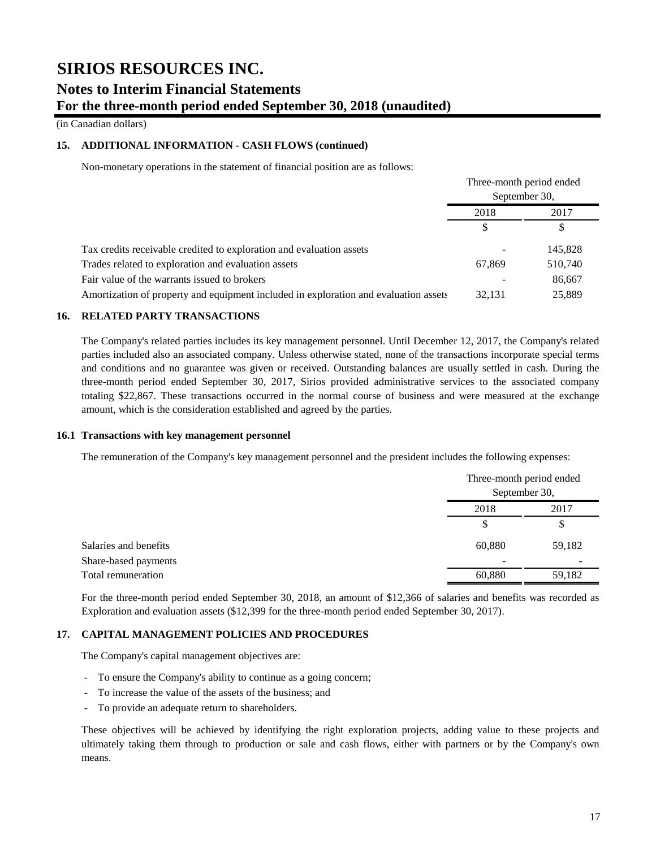(in Canadian dollars)

### **15. ADDITIONAL INFORMATION - CASH FLOWS (continued)**

Non-monetary operations in the statement of financial position are as follows:

|                                                                                      | Three-month period ended<br>September 30, |         |
|--------------------------------------------------------------------------------------|-------------------------------------------|---------|
|                                                                                      |                                           |         |
|                                                                                      | 2018<br>2017                              |         |
|                                                                                      | \$                                        | \$      |
| Tax credits receivable credited to exploration and evaluation assets                 |                                           | 145,828 |
| Trades related to exploration and evaluation assets                                  | 67,869                                    | 510,740 |
| Fair value of the warrants issued to brokers                                         |                                           | 86,667  |
| Amortization of property and equipment included in exploration and evaluation assets | 32.131                                    | 25,889  |

### **16. RELATED PARTY TRANSACTIONS**

The Company's related parties includes its key management personnel. Until December 12, 2017, the Company's related parties included also an associated company. Unless otherwise stated, none of the transactions incorporate special terms and conditions and no guarantee was given or received. Outstanding balances are usually settled in cash. During the three-month period ended September 30, 2017, Sirios provided administrative services to the associated company totaling \$22,867. These transactions occurred in the normal course of business and were measured at the exchange amount, which is the consideration established and agreed by the parties.

### **16.1 Transactions with key management personnel**

The remuneration of the Company's key management personnel and the president includes the following expenses:

|                       |        | Three-month period ended<br>September 30, |  |
|-----------------------|--------|-------------------------------------------|--|
|                       |        |                                           |  |
|                       | 2018   | 2017                                      |  |
|                       | \$     | S.                                        |  |
| Salaries and benefits | 60,880 | 59,182                                    |  |
| Share-based payments  | -      |                                           |  |
| Total remuneration    | 60,880 | 59,182                                    |  |

For the three-month period ended September 30, 2018, an amount of \$12,366 of salaries and benefits was recorded as Exploration and evaluation assets (\$12,399 for the three-month period ended September 30, 2017).

### **17. CAPITAL MANAGEMENT POLICIES AND PROCEDURES**

The Company's capital management objectives are:

- To ensure the Company's ability to continue as a going concern;
- To increase the value of the assets of the business; and
- To provide an adequate return to shareholders.

These objectives will be achieved by identifying the right exploration projects, adding value to these projects and ultimately taking them through to production or sale and cash flows, either with partners or by the Company's own means.